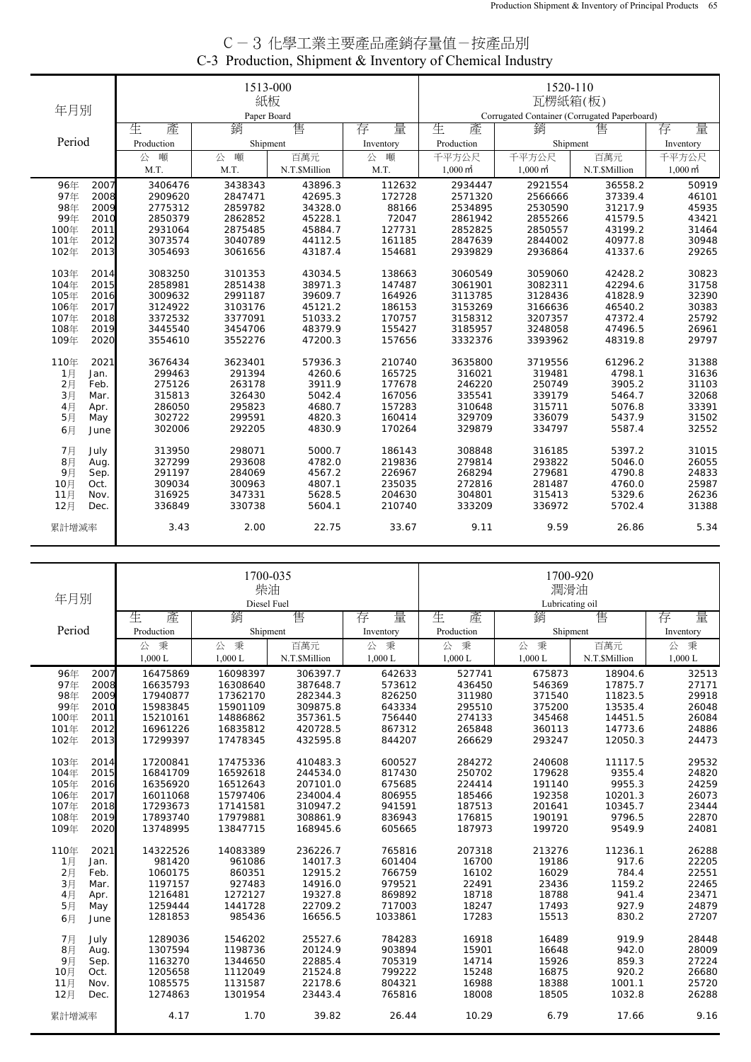| C-3 化學工業主要產品產銷存量值-按產品別                                    |
|-----------------------------------------------------------|
| C-3 Production, Shipment & Inventory of Chemical Industry |

|        |      |            | 1513-000    |               |           | 1520-110            |                                              |               |                     |
|--------|------|------------|-------------|---------------|-----------|---------------------|----------------------------------------------|---------------|---------------------|
| 年月別    |      |            | 紙板          |               |           |                     | 瓦楞紙箱(板)                                      |               |                     |
|        |      |            | Paper Board |               |           |                     | Corrugated Container (Corrugated Paperboard) |               |                     |
|        |      | 生<br>產     | 銷           | 售             | 量<br>存    | 生<br>產              | 銷                                            | 售             | 量<br>存              |
| Period |      | Production | Shipment    |               | Inventory | Production          | Shipment                                     |               | Inventory           |
|        |      | 噸<br>公     | 噸<br>公      | 百萬元           | 噸<br>公    | 千平方公尺               | 千平方公尺                                        | 百萬元           | 千平方公尺               |
|        |      | M.T.       | M.T.        | N.T.\$Million | M.T.      | $1,000 \text{ m}^2$ | $1,000 \text{ m}^2$                          | N.T.\$Million | $1,000 \text{ m}^2$ |
| 96年    | 2007 | 3406476    | 3438343     | 43896.3       | 112632    | 2934447             | 2921554                                      | 36558.2       | 50919               |
| 97年    | 2008 | 2909620    | 2847471     | 42695.3       | 172728    | 2571320             | 2566666                                      | 37339.4       | 46101               |
| 98年    | 2009 | 2775312    | 2859782     | 34328.0       | 88166     | 2534895             | 2530590                                      | 31217.9       | 45935               |
| 99年    | 2010 | 2850379    | 2862852     | 45228.1       | 72047     | 2861942             | 2855266                                      | 41579.5       | 43421               |
| 100年   | 2011 | 2931064    | 2875485     | 45884.7       | 127731    | 2852825             | 2850557                                      | 43199.2       | 31464               |
| 101年   | 2012 | 3073574    | 3040789     | 44112.5       | 161185    | 2847639             | 2844002                                      | 40977.8       | 30948               |
| 102年   | 2013 | 3054693    | 3061656     | 43187.4       | 154681    | 2939829             | 2936864                                      | 41337.6       | 29265               |
| 103年   | 2014 | 3083250    | 3101353     | 43034.5       | 138663    | 3060549             | 3059060                                      | 42428.2       | 30823               |
| 104年   | 2015 | 2858981    | 2851438     | 38971.3       | 147487    | 3061901             | 3082311                                      | 42294.6       | 31758               |
| 105年   | 2016 | 3009632    | 2991187     | 39609.7       | 164926    | 3113785             | 3128436                                      | 41828.9       | 32390               |
| 106年   | 2017 | 3124922    | 3103176     | 45121.2       | 186153    | 3153269             | 3166636                                      | 46540.2       | 30383               |
| 107年   | 2018 | 3372532    | 3377091     | 51033.2       | 170757    | 3158312             | 3207357                                      | 47372.4       | 25792               |
| 108年   | 2019 | 3445540    | 3454706     | 48379.9       | 155427    | 3185957             | 3248058                                      | 47496.5       | 26961               |
| 109年   | 2020 | 3554610    | 3552276     | 47200.3       | 157656    | 3332376             | 3393962                                      | 48319.8       | 29797               |
| 110年   | 2021 | 3676434    | 3623401     | 57936.3       | 210740    | 3635800             | 3719556                                      | 61296.2       | 31388               |
| 1月     | Jan. | 299463     | 291394      | 4260.6        | 165725    | 316021              | 319481                                       | 4798.1        | 31636               |
| 2月     | Feb. | 275126     | 263178      | 3911.9        | 177678    | 246220              | 250749                                       | 3905.2        | 31103               |
| 3月     | Mar. | 315813     | 326430      | 5042.4        | 167056    | 335541              | 339179                                       | 5464.7        | 32068               |
| 4月     | Apr. | 286050     | 295823      | 4680.7        | 157283    | 310648              | 315711                                       | 5076.8        | 33391               |
| 5月     | May  | 302722     | 299591      | 4820.3        | 160414    | 329709              | 336079                                       | 5437.9        | 31502               |
| 6月     | June | 302006     | 292205      | 4830.9        | 170264    | 329879              | 334797                                       | 5587.4        | 32552               |
| 7月     | July | 313950     | 298071      | 5000.7        | 186143    | 308848              | 316185                                       | 5397.2        | 31015               |
| 8月     | Aug. | 327299     | 293608      | 4782.0        | 219836    | 279814              | 293822                                       | 5046.0        | 26055               |
| 9月     | Sep. | 291197     | 284069      | 4567.2        | 226967    | 268294              | 279681                                       | 4790.8        | 24833               |
| 10月    | Oct. | 309034     | 300963      | 4807.1        | 235035    | 272816              | 281487                                       | 4760.0        | 25987               |
| 11月    | Nov. | 316925     | 347331      | 5628.5        | 204630    | 304801              | 315413                                       | 5329.6        | 26236               |
| 12月    | Dec. | 336849     | 330738      | 5604.1        | 210740    | 333209              | 336972                                       | 5702.4        | 31388               |
| 累計增減率  |      | 3.43       | 2.00        | 22.75         | 33.67     | 9.11                | 9.59                                         | 26.86         | 5.34                |

| 年月別          |            | 1700-035<br>柴油<br>Diesel Fuel |               |           | 1700-920<br>潤滑油<br>Lubricating oil |           |               |           |  |
|--------------|------------|-------------------------------|---------------|-----------|------------------------------------|-----------|---------------|-----------|--|
|              | 生<br>產     | 銷                             | 售             | 量<br>存    | 生<br>產                             | 銷         | 售             | 量<br>存    |  |
| Period       | Production | Shipment                      |               | Inventory | Production                         | Shipment  |               | Inventory |  |
|              | 秉<br>公     | 公秉                            | 百萬元           | 公<br>秉    | 公<br>秉                             | 公秉        | 百萬元           | 公 秉       |  |
|              | $1,000$ L  | $1,000$ L                     | N.T.\$Million | 1,000L    | 1,000 L                            | $1,000$ L | N.T.\$Million | 1,000 L   |  |
| 96年<br>2007  | 16475869   | 16098397                      | 306397.7      | 642633    | 527741                             | 675873    | 18904.6       | 32513     |  |
| 97年<br>2008  | 16635793   | 16308640                      | 387648.7      | 573612    | 436450                             | 546369    | 17875.7       | 27171     |  |
| 98年<br>2009  | 17940877   | 17362170                      | 282344.3      | 826250    | 311980                             | 371540    | 11823.5       | 29918     |  |
| 99年<br>2010  | 15983845   | 15901109                      | 309875.8      | 643334    | 295510                             | 375200    | 13535.4       | 26048     |  |
| 100年<br>2011 | 15210161   | 14886862                      | 357361.5      | 756440    | 274133                             | 345468    | 14451.5       | 26084     |  |
| 2012<br>101年 | 16961226   | 16835812                      | 420728.5      | 867312    | 265848                             | 360113    | 14773.6       | 24886     |  |
| 102年<br>2013 | 17299397   | 17478345                      | 432595.8      | 844207    | 266629                             | 293247    | 12050.3       | 24473     |  |
| 103年<br>2014 | 17200841   | 17475336                      | 410483.3      | 600527    | 284272                             | 240608    | 11117.5       | 29532     |  |
| 2015<br>104年 | 16841709   | 16592618                      | 244534.0      | 817430    | 250702                             | 179628    | 9355.4        | 24820     |  |
| 105年<br>2016 | 16356920   | 16512643                      | 207101.0      | 675685    | 224414                             | 191140    | 9955.3        | 24259     |  |
| 2017<br>106年 | 16011068   | 15797406                      | 234004.4      | 806955    | 185466                             | 192358    | 10201.3       | 26073     |  |
| 107年<br>2018 | 17293673   | 17141581                      | 310947.2      | 941591    | 187513                             | 201641    | 10345.7       | 23444     |  |
| 108年<br>2019 | 17893740   | 17979881                      | 308861.9      | 836943    | 176815                             | 190191    | 9796.5        | 22870     |  |
| 109年<br>2020 | 13748995   | 13847715                      | 168945.6      | 605665    | 187973                             | 199720    | 9549.9        | 24081     |  |
| 110年<br>2021 | 14322526   | 14083389                      | 236226.7      | 765816    | 207318                             | 213276    | 11236.1       | 26288     |  |
| 1月<br>Jan.   | 981420     | 961086                        | 14017.3       | 601404    | 16700                              | 19186     | 917.6         | 22205     |  |
| 2月<br>Feb.   | 1060175    | 860351                        | 12915.2       | 766759    | 16102                              | 16029     | 784.4         | 22551     |  |
| 3月<br>Mar.   | 1197157    | 927483                        | 14916.0       | 979521    | 22491                              | 23436     | 1159.2        | 22465     |  |
| 4月<br>Apr.   | 1216481    | 1272127                       | 19327.8       | 869892    | 18718                              | 18788     | 941.4         | 23471     |  |
| 5月<br>May    | 1259444    | 1441728                       | 22709.2       | 717003    | 18247                              | 17493     | 927.9         | 24879     |  |
| 6月<br>June   | 1281853    | 985436                        | 16656.5       | 1033861   | 17283                              | 15513     | 830.2         | 27207     |  |
| 7月<br>July   | 1289036    | 1546202                       | 25527.6       | 784283    | 16918                              | 16489     | 919.9         | 28448     |  |
| 8月<br>Aug.   | 1307594    | 1198736                       | 20124.9       | 903894    | 15901                              | 16648     | 942.0         | 28009     |  |
| 9月<br>Sep.   | 1163270    | 1344650                       | 22885.4       | 705319    | 14714                              | 15926     | 859.3         | 27224     |  |
| 10月<br>Oct.  | 1205658    | 1112049                       | 21524.8       | 799222    | 15248                              | 16875     | 920.2         | 26680     |  |
| 11月<br>Nov.  | 1085575    | 1131587                       | 22178.6       | 804321    | 16988                              | 18388     | 1001.1        | 25720     |  |
| 12月<br>Dec.  | 1274863    | 1301954                       | 23443.4       | 765816    | 18008                              | 18505     | 1032.8        | 26288     |  |
| 累計增減率        | 4.17       | 1.70                          | 39.82         | 26.44     | 10.29                              | 6.79      | 17.66         | 9.16      |  |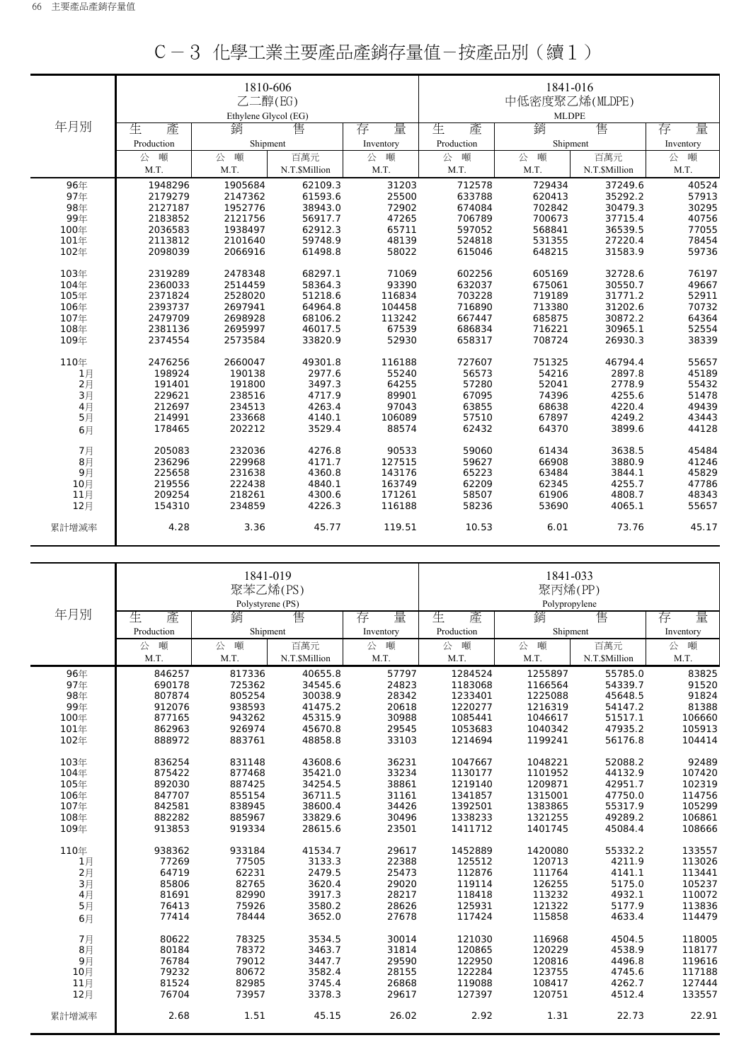|       |            | 1810-606<br>乙二醇(EG)<br>Ethylene Glvcol (EG) |               |           | 1841-016<br>中低密度聚乙烯(MLDPE)<br><b>MLDPE</b> |          |               |           |
|-------|------------|---------------------------------------------|---------------|-----------|--------------------------------------------|----------|---------------|-----------|
| 年月別   | 生<br>產     | 銷                                           | 售             | 量<br>存    | 生<br>產                                     | 銷        | 售             | 量<br>存    |
|       | Production | Shipment                                    |               | Inventory | Production                                 | Shipment |               | Inventory |
|       | 噸<br>公     | 噸<br>公                                      | 百萬元           | 公<br>噸    | 噸<br>公                                     | 噸<br>公   | 百萬元           | 噸<br>公    |
|       | M.T.       | M.T.                                        | N.T.\$Million | M.T.      | M.T.                                       | M.T.     | N.T.\$Million | M.T.      |
| 96年   | 1948296    | 1905684                                     | 62109.3       | 31203     | 712578                                     | 729434   | 37249.6       | 40524     |
| 97年   | 2179279    | 2147362                                     | 61593.6       | 25500     | 633788                                     | 620413   | 35292.2       | 57913     |
| 98年   | 2127187    | 1952776                                     | 38943.0       | 72902     | 674084                                     | 702842   | 30479.3       | 30295     |
| 99年   | 2183852    | 2121756                                     | 56917.7       | 47265     | 706789                                     | 700673   | 37715.4       | 40756     |
| 100年  | 2036583    | 1938497                                     | 62912.3       | 65711     | 597052                                     | 568841   | 36539.5       | 77055     |
| 101年  | 2113812    | 2101640                                     | 59748.9       | 48139     | 524818                                     | 531355   | 27220.4       | 78454     |
| 102年  | 2098039    | 2066916                                     | 61498.8       | 58022     | 615046                                     | 648215   | 31583.9       | 59736     |
| 103年  | 2319289    | 2478348                                     | 68297.1       | 71069     | 602256                                     | 605169   | 32728.6       | 76197     |
| 104年  | 2360033    | 2514459                                     | 58364.3       | 93390     | 632037                                     | 675061   | 30550.7       | 49667     |
| 105年  | 2371824    | 2528020                                     | 51218.6       | 116834    | 703228                                     | 719189   | 31771.2       | 52911     |
| 106年  | 2393737    | 2697941                                     | 64964.8       | 104458    | 716890                                     | 713380   | 31202.6       | 70732     |
| 107年  | 2479709    | 2698928                                     | 68106.2       | 113242    | 667447                                     | 685875   | 30872.2       | 64364     |
| 108年  | 2381136    | 2695997                                     | 46017.5       | 67539     | 686834                                     | 716221   | 30965.1       | 52554     |
| 109年  | 2374554    | 2573584                                     | 33820.9       | 52930     | 658317                                     | 708724   | 26930.3       | 38339     |
| 110年  | 2476256    | 2660047                                     | 49301.8       | 116188    | 727607                                     | 751325   | 46794.4       | 55657     |
| 1月    | 198924     | 190138                                      | 2977.6        | 55240     | 56573                                      | 54216    | 2897.8        | 45189     |
| 2月    | 191401     | 191800                                      | 3497.3        | 64255     | 57280                                      | 52041    | 2778.9        | 55432     |
| 3月    | 229621     | 238516                                      | 4717.9        | 89901     | 67095                                      | 74396    | 4255.6        | 51478     |
| 4月    | 212697     | 234513                                      | 4263.4        | 97043     | 63855                                      | 68638    | 4220.4        | 49439     |
| 5月    | 214991     | 233668                                      | 4140.1        | 106089    | 57510                                      | 67897    | 4249.2        | 43443     |
| 6月    | 178465     | 202212                                      | 3529.4        | 88574     | 62432                                      | 64370    | 3899.6        | 44128     |
| 7月    | 205083     | 232036                                      | 4276.8        | 90533     | 59060                                      | 61434    | 3638.5        | 45484     |
| 8月    | 236296     | 229968                                      | 4171.7        | 127515    | 59627                                      | 66908    | 3880.9        | 41246     |
| 9月    | 225658     | 231638                                      | 4360.8        | 143176    | 65223                                      | 63484    | 3844.1        | 45829     |
| 10月   | 219556     | 222438                                      | 4840.1        | 163749    | 62209                                      | 62345    | 4255.7        | 47786     |
| 11月   | 209254     | 218261                                      | 4300.6        | 171261    | 58507                                      | 61906    | 4808.7        | 48343     |
| 12月   | 154310     | 234859                                      | 4226.3        | 116188    | 58236                                      | 53690    | 4065.1        | 55657     |
| 累計增減率 | 4.28       | 3.36                                        | 45.77         | 119.51    | 10.53                                      | 6.01     | 73.76         | 45.17     |

|--|--|--|--|--|--|

|                |            | 聚苯乙烯(PS)         | 1841-019      |           | 1841-033<br>聚丙烯(PP) |               |               |           |
|----------------|------------|------------------|---------------|-----------|---------------------|---------------|---------------|-----------|
|                |            | Polystyrene (PS) |               |           |                     | Polypropylene |               |           |
| 年月別            | 產<br>生     | 銷                | 售             | 量<br>存    | 生<br>產              | 銷             | 售             | 量<br>存    |
|                | Production | Shipment         |               | Inventory | Production          | Shipment      |               | Inventory |
|                | 噸<br>公     | 噸<br>公           | 百萬元           | 公 噸       | 噸<br>公              | 噸<br>公        | 百萬元           | 噸<br>公    |
|                | M.T.       | M.T.             | N.T.\$Million | M.T.      | M.T.                | M.T.          | N.T.\$Million | M.T.      |
| 96年            | 846257     | 817336           | 40655.8       | 57797     | 1284524             | 1255897       | 55785.0       | 83825     |
| 97年            | 690178     | 725362           | 34545.6       | 24823     | 1183068             | 1166564       | 54339.7       | 91520     |
| 98年            | 807874     | 805254           | 30038.9       | 28342     | 1233401             | 1225088       | 45648.5       | 91824     |
| 99年            | 912076     | 938593           | 41475.2       | 20618     | 1220277             | 1216319       | 54147.2       | 81388     |
| 100年           | 877165     | 943262           | 45315.9       | 30988     | 1085441             | 1046617       | 51517.1       | 106660    |
| 101年           | 862963     | 926974           | 45670.8       | 29545     | 1053683             | 1040342       | 47935.2       | 105913    |
| 102年           | 888972     | 883761           | 48858.8       | 33103     | 1214694             | 1199241       | 56176.8       | 104414    |
| 103年           | 836254     | 831148           | 43608.6       | 36231     | 1047667             | 1048221       | 52088.2       | 92489     |
| 104年           | 875422     | 877468           | 35421.0       | 33234     | 1130177             | 1101952       | 44132.9       | 107420    |
| 105年           | 892030     | 887425           | 34254.5       | 38861     | 1219140             | 1209871       | 42951.7       | 102319    |
| 106年           | 847707     | 855154           | 36711.5       | 31161     | 1341857             | 1315001       | 47750.0       | 114756    |
| 107年           | 842581     | 838945           | 38600.4       | 34426     | 1392501             | 1383865       | 55317.9       | 105299    |
| 108年           | 882282     | 885967           | 33829.6       | 30496     | 1338233             | 1321255       | 49289.2       | 106861    |
| 109年           | 913853     | 919334           | 28615.6       | 23501     | 1411712             | 1401745       | 45084.4       | 108666    |
|                |            |                  |               |           |                     |               |               |           |
| 110年           | 938362     | 933184           | 41534.7       | 29617     | 1452889             | 1420080       | 55332.2       | 133557    |
| 1月             | 77269      | 77505            | 3133.3        | 22388     | 125512              | 120713        | 4211.9        | 113026    |
| $2$ 月          | 64719      | 62231            | 2479.5        | 25473     | 112876              | 111764        | 4141.1        | 113441    |
| 3月             | 85806      | 82765            | 3620.4        | 29020     | 119114              | 126255        | 5175.0        | 105237    |
| 4月             | 81691      | 82990            | 3917.3        | 28217     | 118418              | 113232        | 4932.1        | 110072    |
| 5月             | 76413      | 75926            | 3580.2        | 28626     | 125931              | 121322        | 5177.9        | 113836    |
| 6月             | 77414      | 78444            | 3652.0        | 27678     | 117424              | 115858        | 4633.4        | 114479    |
| 7月             | 80622      | 78325            | 3534.5        | 30014     | 121030              | 116968        | 4504.5        | 118005    |
| 8 <sub>月</sub> | 80184      | 78372            | 3463.7        | 31814     | 120865              | 120229        | 4538.9        | 118177    |
| 9月             | 76784      | 79012            | 3447.7        | 29590     | 122950              | 120816        | 4496.8        | 119616    |
| 10月            | 79232      | 80672            | 3582.4        | 28155     | 122284              | 123755        | 4745.6        | 117188    |
| 11月            | 81524      | 82985            | 3745.4        | 26868     | 119088              | 108417        | 4262.7        | 127444    |
| 12月            | 76704      | 73957            | 3378.3        | 29617     | 127397              | 120751        | 4512.4        | 133557    |
| 累計增減率          | 2.68       | 1.51             | 45.15         | 26.02     | 2.92                | 1.31          | 22.73         | 22.91     |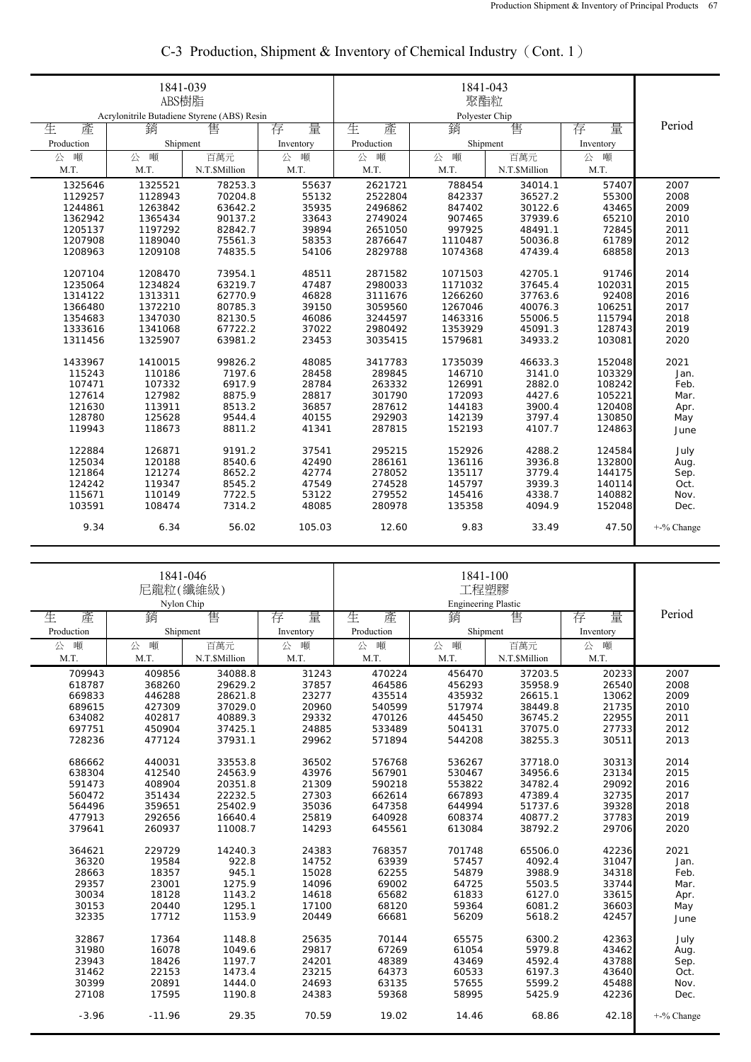|            | 1841-039<br>ABS樹脂<br>Acrylonitrile Butadiene Styrene (ABS) Resin |               |           |            |                     |               |           |            |
|------------|------------------------------------------------------------------|---------------|-----------|------------|---------------------|---------------|-----------|------------|
| 生<br>產     | 銷                                                                | 售             | 量<br>存    | 生<br>產     | Polyester Chip<br>銷 | 售             | 量<br>存    | Period     |
| Production | Shipment                                                         |               | Inventory | Production | Shipment            |               | Inventory |            |
| 噸<br>公     | 噸<br>公                                                           | 百萬元           | 噸<br>公    | 噸<br>公     | 噸<br>公              | 百萬元           | 噸<br>公    |            |
| M.T.       | M.T.                                                             | N.T.\$Million | M.T.      | M.T.       | M.T.                | N.T.\$Million | M.T.      |            |
| 1325646    | 1325521                                                          | 78253.3       | 55637     | 2621721    | 788454              | 34014.1       | 57407     | 2007       |
| 1129257    | 1128943                                                          | 70204.8       | 55132     | 2522804    | 842337              | 36527.2       | 55300     | 2008       |
| 1244861    | 1263842                                                          | 63642.2       | 35935     | 2496862    | 847402              | 30122.6       | 43465     | 2009       |
| 1362942    | 1365434                                                          | 90137.2       | 33643     | 2749024    | 907465              | 37939.6       | 65210     | 2010       |
| 1205137    | 1197292                                                          | 82842.7       | 39894     | 2651050    | 997925              | 48491.1       | 72845     | 2011       |
| 1207908    | 1189040                                                          | 75561.3       | 58353     | 2876647    | 1110487             | 50036.8       | 61789     | 2012       |
| 1208963    | 1209108                                                          | 74835.5       | 54106     | 2829788    | 1074368             | 47439.4       | 68858     | 2013       |
|            |                                                                  |               |           |            |                     |               |           |            |
| 1207104    | 1208470                                                          | 73954.1       | 48511     | 2871582    | 1071503             | 42705.1       | 91746     | 2014       |
| 1235064    | 1234824                                                          | 63219.7       | 47487     | 2980033    | 1171032             | 37645.4       | 102031    | 2015       |
| 1314122    | 1313311                                                          | 62770.9       | 46828     | 3111676    | 1266260             | 37763.6       | 92408     | 2016       |
| 1366480    | 1372210                                                          | 80785.3       | 39150     | 3059560    | 1267046             | 40076.3       | 106251    | 2017       |
| 1354683    | 1347030                                                          | 82130.5       | 46086     | 3244597    | 1463316             | 55006.5       | 115794    | 2018       |
| 1333616    | 1341068                                                          | 67722.2       | 37022     | 2980492    | 1353929             | 45091.3       | 128743    | 2019       |
| 1311456    | 1325907                                                          | 63981.2       | 23453     | 3035415    | 1579681             | 34933.2       | 103081    | 2020       |
| 1433967    | 1410015                                                          | 99826.2       | 48085     | 3417783    | 1735039             | 46633.3       | 152048    | 2021       |
| 115243     | 110186                                                           | 7197.6        | 28458     | 289845     | 146710              | 3141.0        | 103329    | Jan.       |
| 107471     | 107332                                                           | 6917.9        | 28784     | 263332     | 126991              | 2882.0        | 108242    | Feb.       |
| 127614     | 127982                                                           | 8875.9        | 28817     | 301790     | 172093              | 4427.6        | 105221    | Mar.       |
| 121630     | 113911                                                           | 8513.2        | 36857     | 287612     | 144183              | 3900.4        | 120408    | Apr.       |
| 128780     | 125628                                                           | 9544.4        | 40155     | 292903     | 142139              | 3797.4        | 130850    | May        |
| 119943     | 118673                                                           | 8811.2        | 41341     | 287815     | 152193              | 4107.7        | 124863    | June       |
|            |                                                                  |               |           |            |                     |               |           |            |
| 122884     | 126871                                                           | 9191.2        | 37541     | 295215     | 152926              | 4288.2        | 124584    | July       |
| 125034     | 120188                                                           | 8540.6        | 42490     | 286161     | 136116              | 3936.8        | 132800    | Aug.       |
| 121864     | 121274                                                           | 8652.2        | 42774     | 278052     | 135117              | 3779.4        | 144175    | Sep.       |
| 124242     | 119347                                                           | 8545.2        | 47549     | 274528     | 145797              | 3939.3        | 140114    | Oct.       |
| 115671     | 110149                                                           | 7722.5        | 53122     | 279552     | 145416              | 4338.7        | 140882    | Nov.       |
| 103591     | 108474                                                           | 7314.2        | 48085     | 280978     | 135358              | 4094.9        | 152048    | Dec.       |
| 9.34       | 6.34                                                             | 56.02         | 105.03    | 12.60      | 9.83                | 33.49         | 47.50     | +-% Change |

## C-3 Production, Shipment & Inventory of Chemical Industry (Cont. 1)

|            | 1841-046<br>尼龍粒(纖維級)<br>Nylon Chip |               |           |            |          |               |           |               |
|------------|------------------------------------|---------------|-----------|------------|----------|---------------|-----------|---------------|
| 生<br>產     | 銷                                  | 售             | 量<br>存    | 生<br>產     | 銷        | 售             | 存<br>量    | Period        |
| Production | Shipment                           |               | Inventory | Production | Shipment |               | Inventory |               |
| 噸<br>公     | 噸<br>公                             | 百萬元           | 公<br>噸    | 噸<br>公     | 噸<br>公   | 百萬元           | 噸<br>公    |               |
| M.T.       | M.T.                               | N.T.\$Million | M.T.      | M.T.       | M.T.     | N.T.\$Million | M.T.      |               |
| 709943     | 409856                             | 34088.8       | 31243     | 470224     | 456470   | 37203.5       | 20233     | 2007          |
| 618787     | 368260                             | 29629.2       | 37857     | 464586     | 456293   | 35958.9       | 26540     | 2008          |
| 669833     | 446288                             | 28621.8       | 23277     | 435514     | 435932   | 26615.1       | 13062     | 2009          |
| 689615     | 427309                             | 37029.0       | 20960     | 540599     | 517974   | 38449.8       | 21735     | 2010          |
| 634082     | 402817                             | 40889.3       | 29332     | 470126     | 445450   | 36745.2       | 22955     | 2011          |
| 697751     | 450904                             | 37425.1       | 24885     | 533489     | 504131   | 37075.0       | 27733     | 2012          |
| 728236     | 477124                             | 37931.1       | 29962     | 571894     | 544208   | 38255.3       | 30511     | 2013          |
| 686662     | 440031                             | 33553.8       | 36502     | 576768     | 536267   | 37718.0       | 30313     | 2014          |
| 638304     | 412540                             | 24563.9       | 43976     | 567901     | 530467   | 34956.6       | 23134     | 2015          |
| 591473     | 408904                             | 20351.8       | 21309     | 590218     | 553822   | 34782.4       | 29092     | 2016          |
| 560472     | 351434                             | 22232.5       | 27303     | 662614     | 667893   | 47389.4       | 32735     | 2017          |
| 564496     | 359651                             | 25402.9       | 35036     | 647358     | 644994   | 51737.6       | 39328     | 2018          |
| 477913     | 292656                             | 16640.4       | 25819     | 640928     | 608374   | 40877.2       | 37783     | 2019          |
| 379641     | 260937                             | 11008.7       | 14293     | 645561     | 613084   | 38792.2       | 29706     | 2020          |
| 364621     | 229729                             | 14240.3       | 24383     | 768357     | 701748   | 65506.0       | 42236     | 2021          |
| 36320      | 19584                              | 922.8         | 14752     | 63939      | 57457    | 4092.4        | 31047     | Jan.          |
| 28663      | 18357                              | 945.1         | 15028     | 62255      | 54879    | 3988.9        | 34318     | Feb.          |
| 29357      | 23001                              | 1275.9        | 14096     | 69002      | 64725    | 5503.5        | 33744     | Mar.          |
| 30034      | 18128                              | 1143.2        | 14618     | 65682      | 61833    | 6127.0        | 33615     | Apr.          |
| 30153      | 20440                              | 1295.1        | 17100     | 68120      | 59364    | 6081.2        | 36603     | May           |
| 32335      | 17712                              | 1153.9        | 20449     | 66681      | 56209    | 5618.2        | 42457     | June          |
| 32867      | 17364                              | 1148.8        | 25635     | 70144      | 65575    | 6300.2        | 42363     | July          |
| 31980      | 16078                              | 1049.6        | 29817     | 67269      | 61054    | 5979.8        | 43462     | Aug.          |
| 23943      | 18426                              | 1197.7        | 24201     | 48389      | 43469    | 4592.4        | 43788     | Sep.          |
| 31462      | 22153                              | 1473.4        | 23215     | 64373      | 60533    | 6197.3        | 43640     | Oct.          |
| 30399      | 20891                              | 1444.0        | 24693     | 63135      | 57655    | 5599.2        | 45488     | Nov.          |
| 27108      | 17595                              | 1190.8        | 24383     | 59368      | 58995    | 5425.9        | 42236     | Dec.          |
| $-3.96$    | $-11.96$                           | 29.35         | 70.59     | 19.02      | 14.46    | 68.86         | 42.18     | $+$ -% Change |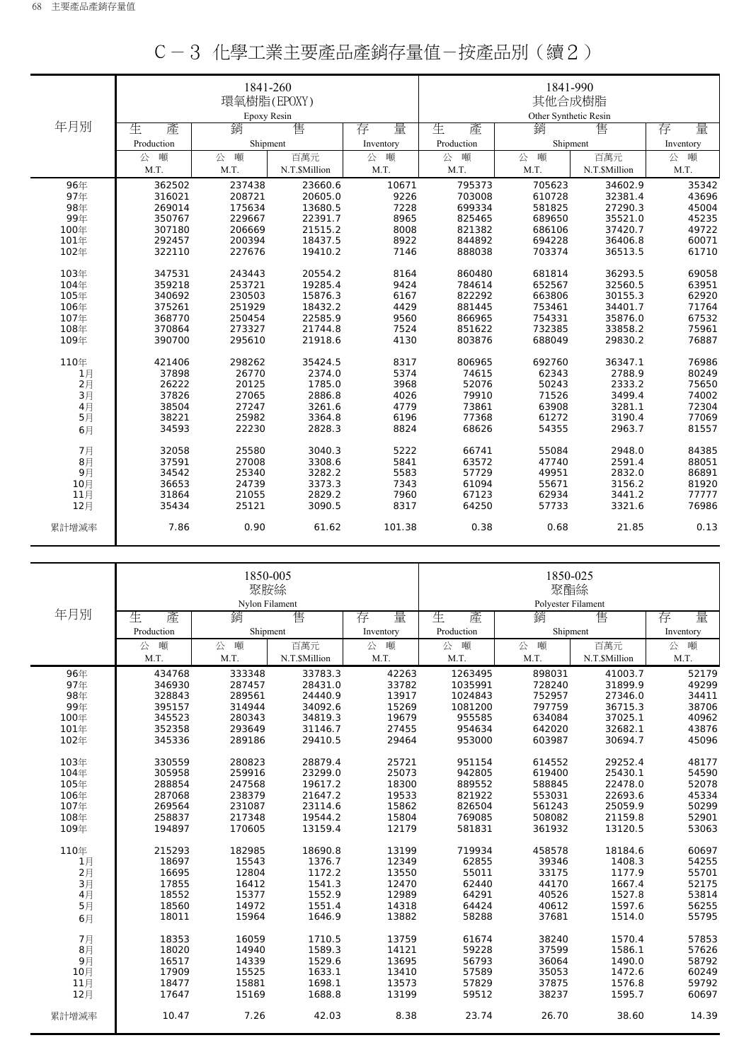|       |            | 1841-260<br>環氧樹脂(EPOXY) |               |           | 1841-990<br>其他合成樹脂 |                       |               |           |
|-------|------------|-------------------------|---------------|-----------|--------------------|-----------------------|---------------|-----------|
| 年月別   |            | Epoxy Resin             |               |           |                    | Other Synthetic Resin |               |           |
|       | 生<br>產     | 銷                       | 售             | 量<br>存    | 生<br>產             | 銷                     | 售             | 量<br>存    |
|       | Production | Shipment                |               | Inventory | Production         | Shipment              |               | Inventory |
|       | 噸<br>公     | 噸<br>公                  | 百萬元           | 噸<br>公    | 公<br>噸             | 噸<br>公                | 百萬元           | 噸<br>公    |
|       | M.T.       | M.T.                    | N.T.\$Million | M.T.      | M.T.               | M.T.                  | N.T.\$Million | M.T.      |
| 96年   | 362502     | 237438                  | 23660.6       | 10671     | 795373             | 705623                | 34602.9       | 35342     |
| 97年   | 316021     | 208721                  | 20605.0       | 9226      | 703008             | 610728                | 32381.4       | 43696     |
| 98年   | 269014     | 175634                  | 13680.5       | 7228      | 699334             | 581825                | 27290.3       | 45004     |
| 99年   | 350767     | 229667                  | 22391.7       | 8965      | 825465             | 689650                | 35521.0       | 45235     |
| 100年  | 307180     | 206669                  | 21515.2       | 8008      | 821382             | 686106                | 37420.7       | 49722     |
| 101年  | 292457     | 200394                  | 18437.5       | 8922      | 844892             | 694228                | 36406.8       | 60071     |
| 102年  | 322110     | 227676                  | 19410.2       | 7146      | 888038             | 703374                | 36513.5       | 61710     |
| 103年  | 347531     | 243443                  | 20554.2       | 8164      | 860480             | 681814                | 36293.5       | 69058     |
| 104年  | 359218     | 253721                  | 19285.4       | 9424      | 784614             | 652567                | 32560.5       | 63951     |
| 105年  | 340692     | 230503                  | 15876.3       | 6167      | 822292             | 663806                | 30155.3       | 62920     |
| 106年  | 375261     | 251929                  | 18432.2       | 4429      | 881445             | 753461                | 34401.7       | 71764     |
| 107年  | 368770     | 250454                  | 22585.9       | 9560      | 866965             | 754331                | 35876.0       | 67532     |
| 108年  | 370864     | 273327                  | 21744.8       | 7524      | 851622             | 732385                | 33858.2       | 75961     |
| 109年  | 390700     | 295610                  | 21918.6       | 4130      | 803876             | 688049                | 29830.2       | 76887     |
| 110年  | 421406     | 298262                  | 35424.5       | 8317      | 806965             | 692760                | 36347.1       | 76986     |
| 1月    | 37898      | 26770                   | 2374.0        | 5374      | 74615              | 62343                 | 2788.9        | 80249     |
| 2月    | 26222      | 20125                   | 1785.0        | 3968      | 52076              | 50243                 | 2333.2        | 75650     |
| 3月    | 37826      | 27065                   | 2886.8        | 4026      | 79910              | 71526                 | 3499.4        | 74002     |
| 4月    | 38504      | 27247                   | 3261.6        | 4779      | 73861              | 63908                 | 3281.1        | 72304     |
| 5月    | 38221      | 25982                   | 3364.8        | 6196      | 77368              | 61272                 | 3190.4        | 77069     |
| 6月    | 34593      | 22230                   | 2828.3        | 8824      | 68626              | 54355                 | 2963.7        | 81557     |
| 7月    | 32058      | 25580                   | 3040.3        | 5222      | 66741              | 55084                 | 2948.0        | 84385     |
| 8月    | 37591      | 27008                   | 3308.6        | 5841      | 63572              | 47740                 | 2591.4        | 88051     |
| 9月    | 34542      | 25340                   | 3282.2        | 5583      | 57729              | 49951                 | 2832.0        | 86891     |
| 10月   | 36653      | 24739                   | 3373.3        | 7343      | 61094              | 55671                 | 3156.2        | 81920     |
| 11月   | 31864      | 21055                   | 2829.2        | 7960      | 67123              | 62934                 | 3441.2        | 77777     |
| 12月   | 35434      | 25121                   | 3090.5        | 8317      | 64250              | 57733                 | 3321.6        | 76986     |
| 累計增減率 | 7.86       | 0.90                    | 61.62         | 101.38    | 0.38               | 0.68                  | 21.85         | 0.13      |

| C-3 化學工業主要產品產銷存量值-按產品別(續2) |
|----------------------------|
|----------------------------|

|       |            | 1850-005<br>聚胺絲<br>Nylon Filament |               |           | 1850-025<br>聚酯絲<br>Polyester Filament |          |               |           |
|-------|------------|-----------------------------------|---------------|-----------|---------------------------------------|----------|---------------|-----------|
| 年月別   | 生<br>產     | 銷                                 | 售             | 量<br>存    | 生<br>產                                | 銷        | 售             | 量<br>存    |
|       | Production | Shipment                          |               | Inventory | Production                            | Shipment |               | Inventory |
|       | 噸<br>公     | 噸<br>公                            | 百萬元           | 噸<br>公    | 噸<br>公                                | 噸<br>公   | 百萬元           | 公<br>噸    |
|       | M.T.       | M.T.                              | N.T.\$Million | M.T.      | M.T.                                  | M.T.     | N.T.\$Million | M.T.      |
| 96年   | 434768     | 333348                            | 33783.3       | 42263     | 1263495                               | 898031   | 41003.7       | 52179     |
| 97年   | 346930     | 287457                            | 28431.0       | 33782     | 1035991                               | 728240   | 31899.9       | 49299     |
| 98年   | 328843     | 289561                            | 24440.9       | 13917     | 1024843                               | 752957   | 27346.0       | 34411     |
| 99年   | 395157     | 314944                            | 34092.6       | 15269     | 1081200                               | 797759   | 36715.3       | 38706     |
| 100年  | 345523     | 280343                            | 34819.3       | 19679     | 955585                                | 634084   | 37025.1       | 40962     |
| 101年  | 352358     | 293649                            | 31146.7       | 27455     | 954634                                | 642020   | 32682.1       | 43876     |
| 102年  | 345336     | 289186                            | 29410.5       | 29464     | 953000                                | 603987   | 30694.7       | 45096     |
| 103年  | 330559     | 280823                            | 28879.4       | 25721     | 951154                                | 614552   | 29252.4       | 48177     |
| 104年  | 305958     | 259916                            | 23299.0       | 25073     | 942805                                | 619400   | 25430.1       | 54590     |
| 105年  | 288854     | 247568                            | 19617.2       | 18300     | 889552                                | 588845   | 22478.0       | 52078     |
| 106年  | 287068     | 238379                            | 21647.2       | 19533     | 821922                                | 553031   | 22693.6       | 45334     |
| 107年  | 269564     | 231087                            | 23114.6       | 15862     | 826504                                | 561243   | 25059.9       | 50299     |
| 108年  | 258837     | 217348                            | 19544.2       | 15804     | 769085                                | 508082   | 21159.8       | 52901     |
| 109年  | 194897     | 170605                            | 13159.4       | 12179     | 581831                                | 361932   | 13120.5       | 53063     |
| 110年  | 215293     | 182985                            | 18690.8       | 13199     | 719934                                | 458578   | 18184.6       | 60697     |
| 1月    | 18697      | 15543                             | 1376.7        | 12349     | 62855                                 | 39346    | 1408.3        | 54255     |
| 2月    | 16695      | 12804                             | 1172.2        | 13550     | 55011                                 | 33175    | 1177.9        | 55701     |
| 3月    | 17855      | 16412                             | 1541.3        | 12470     | 62440                                 | 44170    | 1667.4        | 52175     |
| 4月    | 18552      | 15377                             | 1552.9        | 12989     | 64291                                 | 40526    | 1527.8        | 53814     |
| 5月    | 18560      | 14972                             | 1551.4        | 14318     | 64424                                 | 40612    | 1597.6        | 56255     |
| 6月    | 18011      | 15964                             | 1646.9        | 13882     | 58288                                 | 37681    | 1514.0        | 55795     |
| 7月    | 18353      | 16059                             | 1710.5        | 13759     | 61674                                 | 38240    | 1570.4        | 57853     |
| 8月    | 18020      | 14940                             | 1589.3        | 14121     | 59228                                 | 37599    | 1586.1        | 57626     |
| 9月    | 16517      | 14339                             | 1529.6        | 13695     | 56793                                 | 36064    | 1490.0        | 58792     |
| 10月   | 17909      | 15525                             | 1633.1        | 13410     | 57589                                 | 35053    | 1472.6        | 60249     |
| 11月   | 18477      | 15881                             | 1698.1        | 13573     | 57829                                 | 37875    | 1576.8        | 59792     |
| 12月   | 17647      | 15169                             | 1688.8        | 13199     | 59512                                 | 38237    | 1595.7        | 60697     |
| 累計增減率 | 10.47      | 7.26                              | 42.03         | 8.38      | 23.74                                 | 26.70    | 38.60         | 14.39     |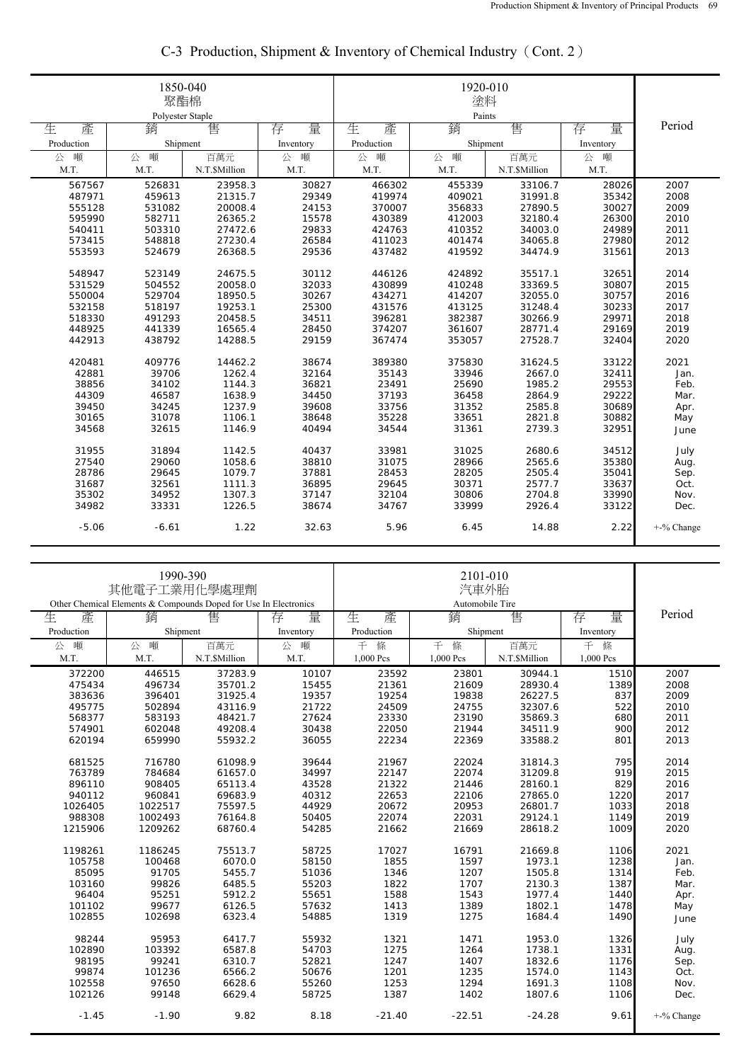|            | 1850-040<br>聚酯棉<br>Polyester Staple |               |           |            |             |               |           |            |
|------------|-------------------------------------|---------------|-----------|------------|-------------|---------------|-----------|------------|
| 生<br>產     | 銷                                   | 售             | 存<br>量    | 生<br>產     | Paints<br>銷 | 售             | 量<br>存    | Period     |
| Production | Shipment                            |               | Inventory | Production | Shipment    |               | Inventory |            |
| 噸<br>公     | 噸<br>公                              | 百萬元           | 噸<br>公    | 噸<br>公     | 噸<br>公      | 百萬元           | 噸<br>公    |            |
| M.T.       | M.T.                                | N.T.\$Million | M.T.      | M.T.       | M.T.        | N.T.\$Million | M.T.      |            |
| 567567     | 526831                              | 23958.3       | 30827     | 466302     | 455339      | 33106.7       | 28026     | 2007       |
| 487971     | 459613                              | 21315.7       | 29349     | 419974     | 409021      | 31991.8       | 35342     | 2008       |
| 555128     | 531082                              | 20008.4       | 24153     | 370007     | 356833      | 27890.5       | 30027     | 2009       |
| 595990     | 582711                              | 26365.2       | 15578     | 430389     | 412003      | 32180.4       | 26300     | 2010       |
| 540411     | 503310                              | 27472.6       | 29833     | 424763     | 410352      | 34003.0       | 24989     | 2011       |
| 573415     | 548818                              | 27230.4       | 26584     | 411023     | 401474      | 34065.8       | 27980     | 2012       |
| 553593     | 524679                              | 26368.5       | 29536     | 437482     | 419592      | 34474.9       | 31561     | 2013       |
| 548947     | 523149                              | 24675.5       | 30112     | 446126     | 424892      | 35517.1       | 32651     | 2014       |
| 531529     | 504552                              | 20058.0       | 32033     | 430899     | 410248      | 33369.5       | 30807     | 2015       |
| 550004     | 529704                              | 18950.5       | 30267     | 434271     | 414207      | 32055.0       | 30757     | 2016       |
| 532158     | 518197                              | 19253.1       | 25300     | 431576     | 413125      | 31248.4       | 30233     | 2017       |
| 518330     | 491293                              | 20458.5       | 34511     | 396281     | 382387      | 30266.9       | 29971     | 2018       |
| 448925     | 441339                              | 16565.4       | 28450     | 374207     | 361607      | 28771.4       | 29169     | 2019       |
| 442913     | 438792                              | 14288.5       | 29159     | 367474     | 353057      | 27528.7       | 32404     | 2020       |
| 420481     | 409776                              | 14462.2       | 38674     | 389380     | 375830      | 31624.5       | 33122     | 2021       |
| 42881      | 39706                               | 1262.4        | 32164     | 35143      | 33946       | 2667.0        | 32411     | Jan.       |
| 38856      | 34102                               | 1144.3        | 36821     | 23491      | 25690       | 1985.2        | 29553     | Feb.       |
| 44309      | 46587                               | 1638.9        | 34450     | 37193      | 36458       | 2864.9        | 29222     | Mar.       |
| 39450      | 34245                               | 1237.9        | 39608     | 33756      | 31352       | 2585.8        | 30689     | Apr.       |
| 30165      | 31078                               | 1106.1        | 38648     | 35228      | 33651       | 2821.8        | 30882     | May        |
| 34568      | 32615                               | 1146.9        | 40494     | 34544      | 31361       | 2739.3        | 32951     |            |
|            |                                     |               |           |            |             |               |           | June       |
| 31955      | 31894                               | 1142.5        | 40437     | 33981      | 31025       | 2680.6        | 34512     | July       |
| 27540      | 29060                               | 1058.6        | 38810     | 31075      | 28966       | 2565.6        | 35380     | Aug.       |
| 28786      | 29645                               | 1079.7        | 37881     | 28453      | 28205       | 2505.4        | 35041     | Sep.       |
| 31687      | 32561                               | 1111.3        | 36895     | 29645      | 30371       | 2577.7        | 33637     | Oct.       |
| 35302      | 34952                               | 1307.3        | 37147     | 32104      | 30806       | 2704.8        | 33990     | Nov.       |
| 34982      | 33331                               | 1226.5        | 38674     | 34767      | 33999       | 2926.4        | 33122     | Dec.       |
| $-5.06$    | $-6.61$                             | 1.22          | 32.63     | 5.96       | 6.45        | 14.88         | 2.22      | +-% Change |

## C-3 Production, Shipment & Inventory of Chemical Industry(Cont. 2)

|                                                                  | 1990-390<br>其他電子工業用化學處理劑 |               |           |            |               |               |           |            |
|------------------------------------------------------------------|--------------------------|---------------|-----------|------------|---------------|---------------|-----------|------------|
| Other Chemical Elements & Compounds Doped for Use In Electronics |                          |               |           |            |               |               |           |            |
| 生<br>產                                                           | 銷                        | 售             | 量<br>存    | 生<br>產     | 銷             | 售             | 量<br>存    | Period     |
| Production                                                       | Shipment                 |               | Inventory | Production | Shipment      |               | Inventory |            |
| 噸<br>公                                                           | 噸<br>公                   | 百萬元           | 噸<br>公    | 條<br>千     | 千<br>條<br>百萬元 |               | 千<br>條    |            |
| M.T.                                                             | M.T.                     | N.T.\$Million | M.T.      | 1,000 Pcs  | 1,000 Pcs     | N.T.\$Million | 1,000 Pcs |            |
| 372200                                                           | 446515                   | 37283.9       | 10107     | 23592      | 23801         | 30944.1       | 1510      | 2007       |
| 475434                                                           | 496734                   | 35701.2       | 15455     | 21361      | 21609         | 28930.4       | 1389      | 2008       |
| 383636                                                           | 396401                   | 31925.4       | 19357     | 19254      | 19838         | 26227.5       | 837       | 2009       |
| 495775                                                           | 502894                   | 43116.9       | 21722     | 24509      | 24755         | 32307.6       | 522       | 2010       |
| 568377                                                           | 583193                   | 48421.7       | 27624     | 23330      | 23190         | 35869.3       | 680       | 2011       |
| 574901                                                           | 602048                   | 49208.4       | 30438     | 22050      | 21944         | 34511.9       | 900       | 2012       |
| 620194                                                           | 659990                   | 55932.2       | 36055     | 22234      | 22369         | 33588.2       | 801       | 2013       |
| 681525                                                           | 716780                   | 61098.9       | 39644     | 21967      | 22024         | 31814.3       | 795       | 2014       |
| 763789                                                           | 784684                   | 61657.0       | 34997     | 22147      | 22074         | 31209.8       | 919       | 2015       |
| 896110                                                           | 908405                   | 65113.4       | 43528     | 21322      | 21446         | 28160.1       | 829       | 2016       |
| 940112                                                           | 960841                   | 69683.9       | 40312     | 22653      | 22106         | 27865.0       | 1220      | 2017       |
| 1026405                                                          | 1022517                  | 75597.5       | 44929     | 20672      | 20953         | 26801.7       | 1033      | 2018       |
| 988308                                                           | 1002493                  | 76164.8       | 50405     | 22074      | 22031         | 29124.1       | 1149      | 2019       |
| 1215906                                                          | 1209262                  | 68760.4       | 54285     | 21662      | 21669         | 28618.2       | 1009      | 2020       |
| 1198261                                                          | 1186245                  | 75513.7       | 58725     | 17027      | 16791         | 21669.8       | 1106      | 2021       |
| 105758                                                           | 100468                   | 6070.0        | 58150     | 1855       | 1597          | 1973.1        | 1238      | Jan.       |
| 85095                                                            | 91705                    | 5455.7        | 51036     | 1346       | 1207          | 1505.8        | 1314      | Feb.       |
| 103160                                                           | 99826                    | 6485.5        | 55203     | 1822       | 1707          | 2130.3        | 1387      | Mar.       |
| 96404                                                            | 95251                    | 5912.2        | 55651     | 1588       | 1543          | 1977.4        | 1440      | Apr.       |
| 101102                                                           | 99677                    | 6126.5        | 57632     | 1413       | 1389          | 1802.1        | 1478      | May        |
| 102855                                                           | 102698                   | 6323.4        | 54885     | 1319       | 1275          | 1684.4        | 1490      | June       |
| 98244                                                            | 95953                    | 6417.7        | 55932     | 1321       | 1471          | 1953.0        | 1326      | July       |
| 102890                                                           | 103392                   | 6587.8        | 54703     | 1275       | 1264          | 1738.1        | 1331      | Aug.       |
| 98195                                                            | 99241                    | 6310.7        | 52821     | 1247       | 1407          | 1832.6        | 1176      | Sep.       |
| 99874                                                            | 101236                   | 6566.2        | 50676     | 1201       | 1235          | 1574.0        | 1143      | Oct.       |
| 102558                                                           | 97650                    | 6628.6        | 55260     | 1253       | 1294          | 1691.3        | 1108      | Nov.       |
| 102126                                                           | 99148                    | 6629.4        | 58725     | 1387       | 1402          | 1807.6        | 1106      | Dec.       |
| $-1.45$                                                          | $-1.90$                  | 9.82          | 8.18      | $-21.40$   | $-22.51$      | $-24.28$      | 9.61      | +-% Change |